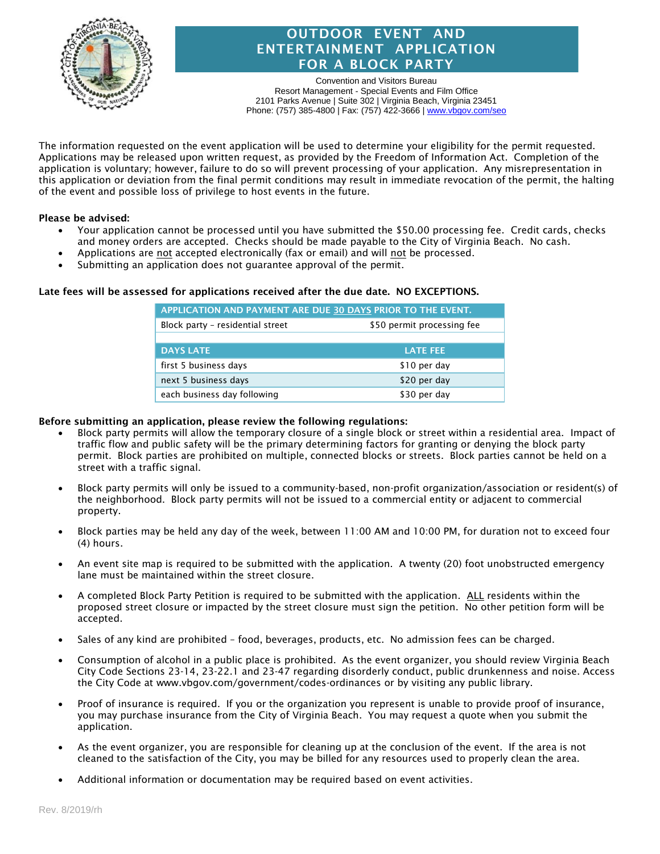

# OUTDOOR EVENT AND ENTERTAINMENT APPLICATION FOR A BLOCK PARTY

Convention and Visitors Bureau Resort Management - Special Events and Film Office 2101 Parks Avenue | Suite 302 | Virginia Beach, Virginia 23451 Phone: (757) 385-4800 | Fax: (757) 422-3666 | [www.vbgov.com/seo](https://www.vbgov.com/government/departments/cvb/resort/specialevents/Pages/default.aspx)

The information requested on the event application will be used to determine your eligibility for the permit requested. Applications may be released upon written request, as provided by the Freedom of Information Act. Completion of the application is voluntary; however, failure to do so will prevent processing of your application. Any misrepresentation in this application or deviation from the final permit conditions may result in immediate revocation of the permit, the halting of the event and possible loss of privilege to host events in the future.

### Please be advised:

- Your application cannot be processed until you have submitted the \$50.00 processing fee. Credit cards, checks and money orders are accepted. Checks should be made payable to the City of Virginia Beach. No cash.
- Applications are not accepted electronically (fax or email) and will not be processed.
- Submitting an application does not guarantee approval of the permit.

### Late fees will be assessed for applications received after the due date. NO EXCEPTIONS.

| APPLICATION AND PAYMENT ARE DUE 30 DAYS PRIOR TO THE EVENT. |                            |  |  |
|-------------------------------------------------------------|----------------------------|--|--|
| Block party - residential street                            | \$50 permit processing fee |  |  |
|                                                             |                            |  |  |
| <b>DAYS LATE</b>                                            | <b>LATE FEE</b>            |  |  |
| first 5 business days                                       | \$10 per day               |  |  |
| next 5 business days                                        | \$20 per day               |  |  |
| each business day following                                 | \$30 per day               |  |  |

### Before submitting an application, please review the following regulations:

- Block party permits will allow the temporary closure of a single block or street within a residential area. Impact of traffic flow and public safety will be the primary determining factors for granting or denying the block party permit. Block parties are prohibited on multiple, connected blocks or streets. Block parties cannot be held on a street with a traffic signal.
- Block party permits will only be issued to a community-based, non-profit organization/association or resident(s) of the neighborhood. Block party permits will not be issued to a commercial entity or adjacent to commercial property.
- Block parties may be held any day of the week, between 11:00 AM and 10:00 PM, for duration not to exceed four (4) hours.
- An event site map is required to be submitted with the application. A twenty (20) foot unobstructed emergency lane must be maintained within the street closure.
- A completed Block Party Petition is required to be submitted with the application. ALL residents within the proposed street closure or impacted by the street closure must sign the petition. No other petition form will be accepted.
- Sales of any kind are prohibited food, beverages, products, etc. No admission fees can be charged.
- Consumption of alcohol in a public place is prohibited. As the event organizer, you should review Virginia Beach City Code Sections 23-14, 23-22.1 and 23-47 regarding disorderly conduct, public drunkenness and noise. Access the City Code at www.vbgov.com/government/codes-ordinances or by visiting any public library.
- Proof of insurance is required. If you or the organization you represent is unable to provide proof of insurance, you may purchase insurance from the City of Virginia Beach. You may request a quote when you submit the application.
- As the event organizer, you are responsible for cleaning up at the conclusion of the event. If the area is not cleaned to the satisfaction of the City, you may be billed for any resources used to properly clean the area.
- Additional information or documentation may be required based on event activities.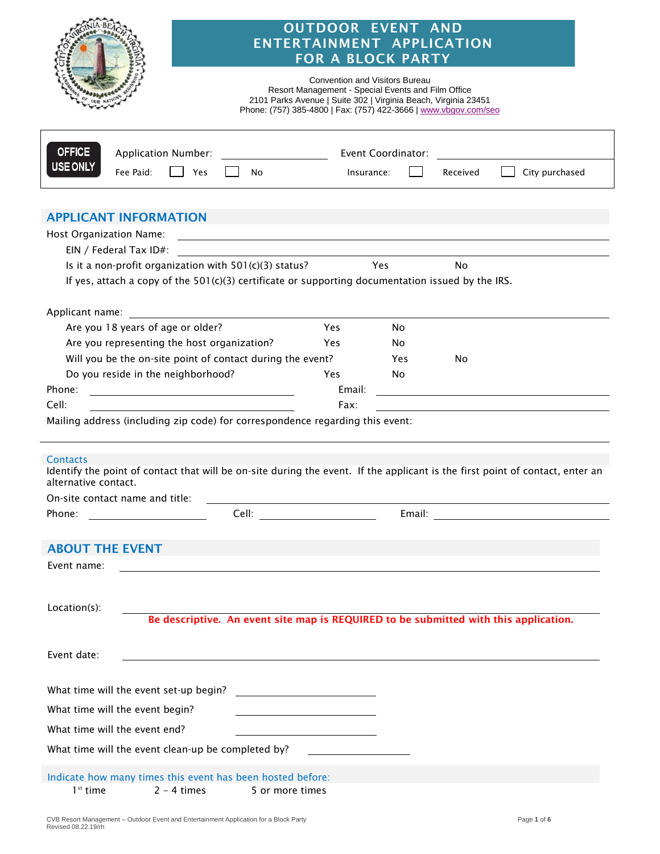|                                                                                                                                                                                                                                              | <b>OUTDOOR EVENT AND</b><br>ENTERTAINMENT APPLICATION<br><b>FOR A BLOCK PARTY</b><br><b>Convention and Visitors Bureau</b><br>Resort Management - Special Events and Film Office<br>2101 Parks Avenue   Suite 302   Virginia Beach, Virginia 23451<br>Phone: (757) 385-4800   Fax: (757) 422-3666   www.vbgov.com/seo |
|----------------------------------------------------------------------------------------------------------------------------------------------------------------------------------------------------------------------------------------------|-----------------------------------------------------------------------------------------------------------------------------------------------------------------------------------------------------------------------------------------------------------------------------------------------------------------------|
|                                                                                                                                                                                                                                              |                                                                                                                                                                                                                                                                                                                       |
| <b>OFFICE</b><br><b>Application Number:</b>                                                                                                                                                                                                  | Event Coordinator:                                                                                                                                                                                                                                                                                                    |
| USE ONL'<br>Fee Paid:<br>Yes<br>No                                                                                                                                                                                                           | Insurance:<br>Received<br>City purchased                                                                                                                                                                                                                                                                              |
| <b>APPLICANT INFORMATION</b>                                                                                                                                                                                                                 |                                                                                                                                                                                                                                                                                                                       |
| Host Organization Name:                                                                                                                                                                                                                      | <u> 1989 - Johann Stoff, deutscher Stoffen und der Stoffen und der Stoffen und der Stoffen und der Stoffen und de</u>                                                                                                                                                                                                 |
| EIN / Federal Tax ID#:<br><u> 1980 - Jan Samuel Barbara, margaret e populazion del control del control del control del control de la control</u>                                                                                             |                                                                                                                                                                                                                                                                                                                       |
| Is it a non-profit organization with 501(c)(3) status?                                                                                                                                                                                       | Yes<br>No.                                                                                                                                                                                                                                                                                                            |
| If yes, attach a copy of the $501(c)(3)$ certificate or supporting documentation issued by the IRS.                                                                                                                                          |                                                                                                                                                                                                                                                                                                                       |
|                                                                                                                                                                                                                                              |                                                                                                                                                                                                                                                                                                                       |
| Applicant name:<br>Are you 18 years of age or older?<br>Yes                                                                                                                                                                                  | No.                                                                                                                                                                                                                                                                                                                   |
| Are you representing the host organization?<br><b>Yes</b>                                                                                                                                                                                    | No.                                                                                                                                                                                                                                                                                                                   |
| Will you be the on-site point of contact during the event?                                                                                                                                                                                   | Yes.<br>No                                                                                                                                                                                                                                                                                                            |
| Do you reside in the neighborhood?<br>Yes                                                                                                                                                                                                    | No.                                                                                                                                                                                                                                                                                                                   |
| Phone:<br><u> 1989 - Johann Stoff, deutscher Stoffen und der Stoffen und der Stoffen und der Stoffen und der Stoffen und der </u>                                                                                                            | Email:<br><u> 1980 - Johann Barn, mars ann an t-Amhain Aonaich an t-Aonaich an t-Aonaich an t-Aonaich an t-Aonaich an t-Aon</u>                                                                                                                                                                                       |
| Cell:<br><u> 1989 - Johann Stein, mars an t-Amerikaansk kommunister (</u>                                                                                                                                                                    | Fax:                                                                                                                                                                                                                                                                                                                  |
| Mailing address (including zip code) for correspondence regarding this event:                                                                                                                                                                |                                                                                                                                                                                                                                                                                                                       |
| Contacts<br>Identify the point of contact that will be on-site during the event. If the applicant is the first point of contact, enter an<br>alternative contact.<br>On-site contact name and title:                                         |                                                                                                                                                                                                                                                                                                                       |
| Phone:                                                                                                                                                                                                                                       | Email: <u>_______________________</u>                                                                                                                                                                                                                                                                                 |
|                                                                                                                                                                                                                                              |                                                                                                                                                                                                                                                                                                                       |
| <b>ABOUT THE EVENT</b>                                                                                                                                                                                                                       |                                                                                                                                                                                                                                                                                                                       |
| Event name:                                                                                                                                                                                                                                  |                                                                                                                                                                                                                                                                                                                       |
|                                                                                                                                                                                                                                              |                                                                                                                                                                                                                                                                                                                       |
| Location(s):                                                                                                                                                                                                                                 | Be descriptive. An event site map is REQUIRED to be submitted with this application.                                                                                                                                                                                                                                  |
| Event date:<br>the control of the control of the control of the control of the control of the control of the control of the control of the control of the control of the control of the control of the control of the control of the control |                                                                                                                                                                                                                                                                                                                       |
|                                                                                                                                                                                                                                              |                                                                                                                                                                                                                                                                                                                       |
| What time will the event begin?<br><u> 1980 - Johann Barn, mars eta biztanleria (</u>                                                                                                                                                        |                                                                                                                                                                                                                                                                                                                       |
| What time will the event end?                                                                                                                                                                                                                |                                                                                                                                                                                                                                                                                                                       |
| What time will the event clean-up be completed by?                                                                                                                                                                                           |                                                                                                                                                                                                                                                                                                                       |
|                                                                                                                                                                                                                                              |                                                                                                                                                                                                                                                                                                                       |
| Indicate how many times this event has been hosted before:<br>$1st$ time<br>$2 - 4$ times<br>5 or more times                                                                                                                                 |                                                                                                                                                                                                                                                                                                                       |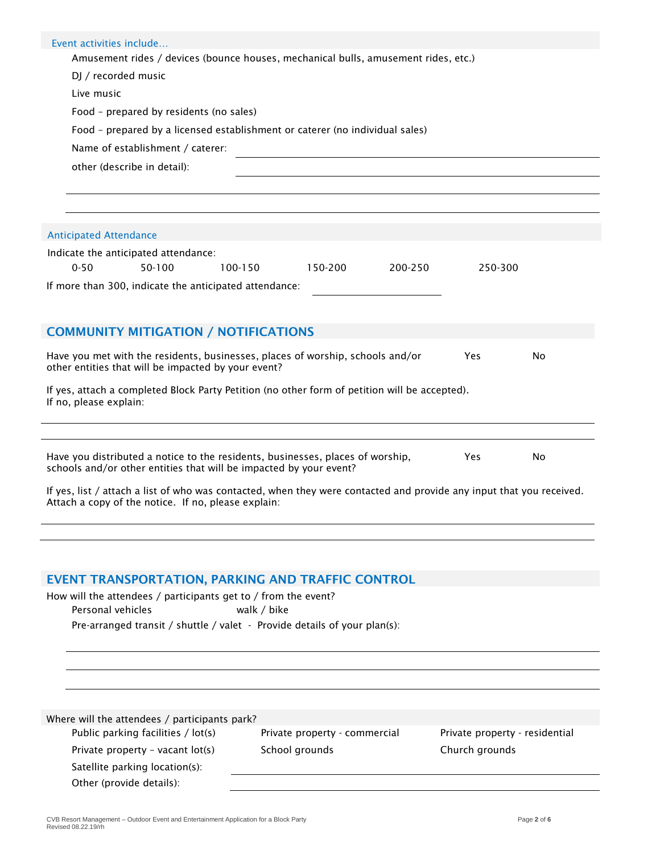| Event activities include<br>Amusement rides / devices (bounce houses, mechanical bulls, amusement rides, etc.)<br>DJ / recorded music<br>Live music<br>Food - prepared by residents (no sales)<br>Food - prepared by a licensed establishment or caterer (no individual sales)<br>Name of establishment / caterer:<br>other (describe in detail): |                                                 |         |                                                  |    |
|---------------------------------------------------------------------------------------------------------------------------------------------------------------------------------------------------------------------------------------------------------------------------------------------------------------------------------------------------|-------------------------------------------------|---------|--------------------------------------------------|----|
|                                                                                                                                                                                                                                                                                                                                                   |                                                 |         |                                                  |    |
| <b>Anticipated Attendance</b><br>Indicate the anticipated attendance:<br>$0 - 50$<br>50-100<br>100-150<br>If more than 300, indicate the anticipated attendance:                                                                                                                                                                                  | 150-200                                         | 200-250 | 250-300                                          |    |
|                                                                                                                                                                                                                                                                                                                                                   |                                                 |         |                                                  |    |
| <b>COMMUNITY MITIGATION / NOTIFICATIONS</b>                                                                                                                                                                                                                                                                                                       |                                                 |         |                                                  |    |
| Have you met with the residents, businesses, places of worship, schools and/or<br>other entities that will be impacted by your event?                                                                                                                                                                                                             |                                                 |         | Yes                                              | No |
| If yes, attach a completed Block Party Petition (no other form of petition will be accepted).<br>If no, please explain:                                                                                                                                                                                                                           |                                                 |         |                                                  |    |
| Have you distributed a notice to the residents, businesses, places of worship,<br>schools and/or other entities that will be impacted by your event?                                                                                                                                                                                              |                                                 |         | Yes.                                             | No |
| If yes, list / attach a list of who was contacted, when they were contacted and provide any input that you received.<br>Attach a copy of the notice. If no, please explain:                                                                                                                                                                       |                                                 |         |                                                  |    |
| <b>EVENT TRANSPORTATION, PARKING AND TRAFFIC CONTROL</b>                                                                                                                                                                                                                                                                                          |                                                 |         |                                                  |    |
| How will the attendees / participants get to / from the event?<br>Personal vehicles<br>Pre-arranged transit / shuttle / valet - Provide details of your plan(s):                                                                                                                                                                                  | walk / bike                                     |         |                                                  |    |
|                                                                                                                                                                                                                                                                                                                                                   |                                                 |         |                                                  |    |
|                                                                                                                                                                                                                                                                                                                                                   |                                                 |         |                                                  |    |
|                                                                                                                                                                                                                                                                                                                                                   |                                                 |         |                                                  |    |
| Where will the attendees / participants park?                                                                                                                                                                                                                                                                                                     |                                                 |         |                                                  |    |
| Public parking facilities / lot(s)<br>Private property - vacant lot(s)<br>Satellite parking location(s):                                                                                                                                                                                                                                          | Private property - commercial<br>School grounds |         | Private property - residential<br>Church grounds |    |

Other (provide details):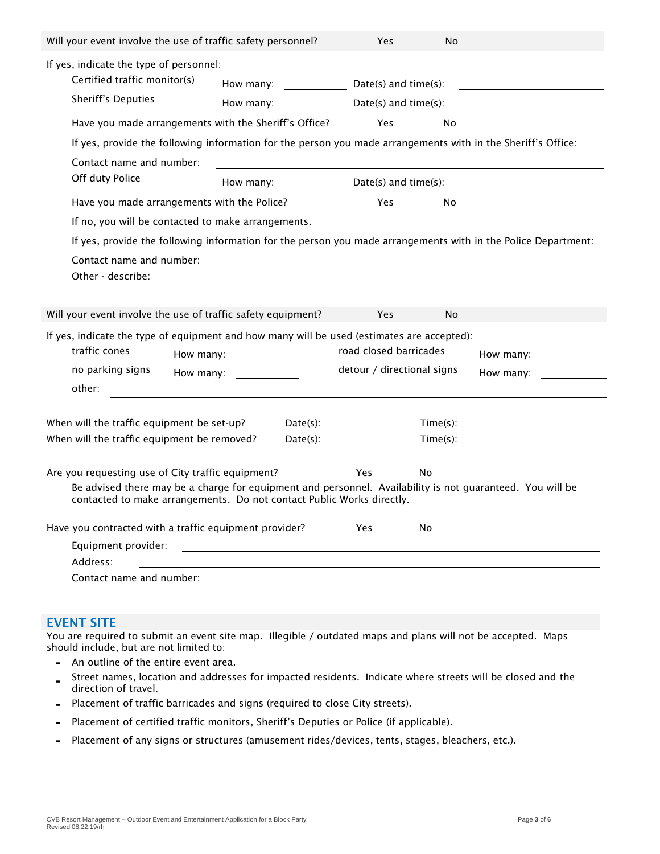| Will your event involve the use of traffic safety personnel?                                                                                                                       |                                                                                                                                                                                                                                                                                                                                                                                                                         | Yes                                                                                                                                                                                                                                                                                                                                                                                                                     | No  |                                                                                                          |
|------------------------------------------------------------------------------------------------------------------------------------------------------------------------------------|-------------------------------------------------------------------------------------------------------------------------------------------------------------------------------------------------------------------------------------------------------------------------------------------------------------------------------------------------------------------------------------------------------------------------|-------------------------------------------------------------------------------------------------------------------------------------------------------------------------------------------------------------------------------------------------------------------------------------------------------------------------------------------------------------------------------------------------------------------------|-----|----------------------------------------------------------------------------------------------------------|
| If yes, indicate the type of personnel:<br>Certified traffic monitor(s)                                                                                                            |                                                                                                                                                                                                                                                                                                                                                                                                                         |                                                                                                                                                                                                                                                                                                                                                                                                                         |     |                                                                                                          |
| Sheriff's Deputies                                                                                                                                                                 | How many: Date(s) and time(s):                                                                                                                                                                                                                                                                                                                                                                                          |                                                                                                                                                                                                                                                                                                                                                                                                                         |     |                                                                                                          |
| Have you made arrangements with the Sheriff's Office?                                                                                                                              |                                                                                                                                                                                                                                                                                                                                                                                                                         | Yes.                                                                                                                                                                                                                                                                                                                                                                                                                    | No  |                                                                                                          |
| If yes, provide the following information for the person you made arrangements with in the Sheriff's Office:                                                                       |                                                                                                                                                                                                                                                                                                                                                                                                                         |                                                                                                                                                                                                                                                                                                                                                                                                                         |     |                                                                                                          |
| Contact name and number:                                                                                                                                                           |                                                                                                                                                                                                                                                                                                                                                                                                                         |                                                                                                                                                                                                                                                                                                                                                                                                                         |     |                                                                                                          |
| Off duty Police                                                                                                                                                                    | How many: Date(s) and time(s):                                                                                                                                                                                                                                                                                                                                                                                          |                                                                                                                                                                                                                                                                                                                                                                                                                         |     |                                                                                                          |
| Have you made arrangements with the Police?                                                                                                                                        |                                                                                                                                                                                                                                                                                                                                                                                                                         | Yes                                                                                                                                                                                                                                                                                                                                                                                                                     | No  |                                                                                                          |
| If no, you will be contacted to make arrangements.                                                                                                                                 |                                                                                                                                                                                                                                                                                                                                                                                                                         |                                                                                                                                                                                                                                                                                                                                                                                                                         |     |                                                                                                          |
| If yes, provide the following information for the person you made arrangements with in the Police Department:                                                                      |                                                                                                                                                                                                                                                                                                                                                                                                                         |                                                                                                                                                                                                                                                                                                                                                                                                                         |     |                                                                                                          |
| Contact name and number:                                                                                                                                                           | <u> 1989 - Andrea Stadt Britain, amerikansk politiker (</u>                                                                                                                                                                                                                                                                                                                                                             |                                                                                                                                                                                                                                                                                                                                                                                                                         |     |                                                                                                          |
| Other - describe:                                                                                                                                                                  |                                                                                                                                                                                                                                                                                                                                                                                                                         |                                                                                                                                                                                                                                                                                                                                                                                                                         |     |                                                                                                          |
|                                                                                                                                                                                    |                                                                                                                                                                                                                                                                                                                                                                                                                         |                                                                                                                                                                                                                                                                                                                                                                                                                         |     |                                                                                                          |
| Will your event involve the use of traffic safety equipment?                                                                                                                       |                                                                                                                                                                                                                                                                                                                                                                                                                         | <b>Yes</b>                                                                                                                                                                                                                                                                                                                                                                                                              | No. |                                                                                                          |
| If yes, indicate the type of equipment and how many will be used (estimates are accepted):                                                                                         |                                                                                                                                                                                                                                                                                                                                                                                                                         |                                                                                                                                                                                                                                                                                                                                                                                                                         |     |                                                                                                          |
| traffic cones                                                                                                                                                                      | How many: $\frac{1}{\sqrt{1-\frac{1}{2}}}\frac{1}{\sqrt{1-\frac{1}{2}}}\frac{1}{\sqrt{1-\frac{1}{2}}}\frac{1}{\sqrt{1-\frac{1}{2}}}\frac{1}{\sqrt{1-\frac{1}{2}}}\frac{1}{\sqrt{1-\frac{1}{2}}}\frac{1}{\sqrt{1-\frac{1}{2}}}\frac{1}{\sqrt{1-\frac{1}{2}}}\frac{1}{\sqrt{1-\frac{1}{2}}}\frac{1}{\sqrt{1-\frac{1}{2}}}\frac{1}{\sqrt{1-\frac{1}{2}}}\frac{1}{\sqrt{1-\frac{1}{2}}}\frac{1}{\sqrt{1-\frac{1}{2}}}\frac$ | road closed barricades                                                                                                                                                                                                                                                                                                                                                                                                  |     | How many:                                                                                                |
| no parking signs                                                                                                                                                                   |                                                                                                                                                                                                                                                                                                                                                                                                                         | detour / directional signs                                                                                                                                                                                                                                                                                                                                                                                              |     | How many:                                                                                                |
| other:                                                                                                                                                                             |                                                                                                                                                                                                                                                                                                                                                                                                                         |                                                                                                                                                                                                                                                                                                                                                                                                                         |     |                                                                                                          |
|                                                                                                                                                                                    |                                                                                                                                                                                                                                                                                                                                                                                                                         |                                                                                                                                                                                                                                                                                                                                                                                                                         |     |                                                                                                          |
| When will the traffic equipment be set-up?<br>When will the traffic equipment be removed?                                                                                          |                                                                                                                                                                                                                                                                                                                                                                                                                         | Date(s): $\frac{1}{\sqrt{1-\frac{1}{2}}}\frac{1}{\sqrt{1-\frac{1}{2}}}\frac{1}{\sqrt{1-\frac{1}{2}}}\frac{1}{\sqrt{1-\frac{1}{2}}}\frac{1}{\sqrt{1-\frac{1}{2}}}\frac{1}{\sqrt{1-\frac{1}{2}}}\frac{1}{\sqrt{1-\frac{1}{2}}}\frac{1}{\sqrt{1-\frac{1}{2}}}\frac{1}{\sqrt{1-\frac{1}{2}}}\frac{1}{\sqrt{1-\frac{1}{2}}}\frac{1}{\sqrt{1-\frac{1}{2}}}\frac{1}{\sqrt{1-\frac{1}{2}}}\frac{1}{\sqrt{1-\frac{1}{2}}}\frac{$ |     | $Time(s): \begin{tabular}{ c c } \hline \quad \quad & \quad \quad & \quad \quad \\ \hline \end{tabular}$ |
|                                                                                                                                                                                    |                                                                                                                                                                                                                                                                                                                                                                                                                         |                                                                                                                                                                                                                                                                                                                                                                                                                         |     |                                                                                                          |
| Are you requesting use of City traffic equipment?                                                                                                                                  |                                                                                                                                                                                                                                                                                                                                                                                                                         | <b>Yes</b>                                                                                                                                                                                                                                                                                                                                                                                                              | No  |                                                                                                          |
| Be advised there may be a charge for equipment and personnel. Availability is not guaranteed. You will be<br>contacted to make arrangements. Do not contact Public Works directly. |                                                                                                                                                                                                                                                                                                                                                                                                                         |                                                                                                                                                                                                                                                                                                                                                                                                                         |     |                                                                                                          |
| Have you contracted with a traffic equipment provider?                                                                                                                             |                                                                                                                                                                                                                                                                                                                                                                                                                         | Yes                                                                                                                                                                                                                                                                                                                                                                                                                     | No  |                                                                                                          |
| Equipment provider:                                                                                                                                                                |                                                                                                                                                                                                                                                                                                                                                                                                                         |                                                                                                                                                                                                                                                                                                                                                                                                                         |     |                                                                                                          |
| Address:                                                                                                                                                                           |                                                                                                                                                                                                                                                                                                                                                                                                                         |                                                                                                                                                                                                                                                                                                                                                                                                                         |     |                                                                                                          |
| Contact name and number:                                                                                                                                                           | <u> 1989 - John Barnett, fransk politiker (d. 1989)</u>                                                                                                                                                                                                                                                                                                                                                                 |                                                                                                                                                                                                                                                                                                                                                                                                                         |     |                                                                                                          |

# EVENT SITE

You are required to submit an event site map. Illegible / outdated maps and plans will not be accepted. Maps should include, but are not limited to:

- An outline of the entire event area.
- Street names, location and addresses for impacted residents. Indicate where streets will be closed and the direction of travel.
- Placement of traffic barricades and signs (required to close City streets).
- Placement of certified traffic monitors, Sheriff's Deputies or Police (if applicable).
- Placement of any signs or structures (amusement rides/devices, tents, stages, bleachers, etc.).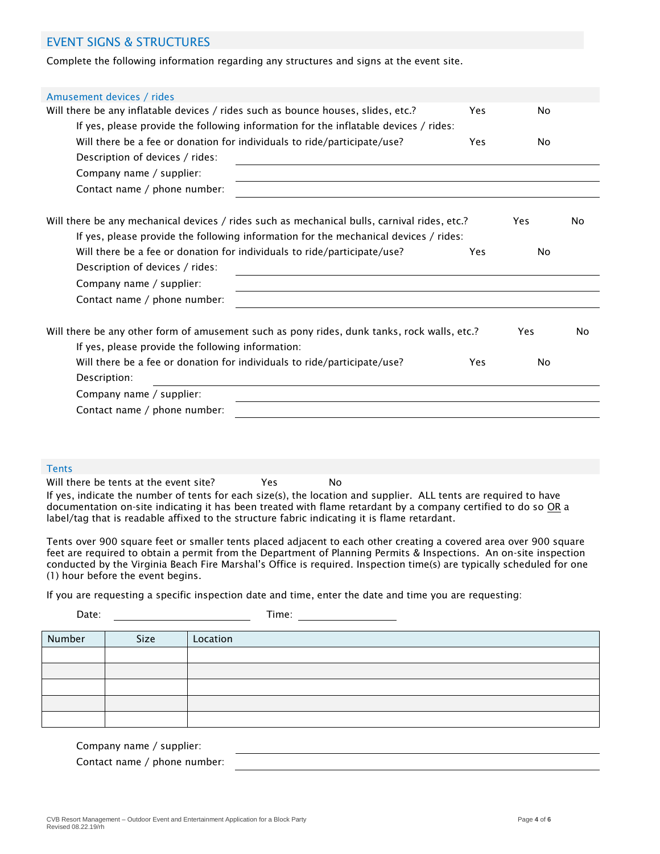### EVENT SIGNS & STRUCTURES

Complete the following information regarding any structures and signs at the event site.

| Amusement devices / rides                                                                    |     |     |
|----------------------------------------------------------------------------------------------|-----|-----|
| Will there be any inflatable devices / rides such as bounce houses, slides, etc.?<br>Yes     | No. |     |
| If yes, please provide the following information for the inflatable devices / rides:         |     |     |
| Will there be a fee or donation for individuals to ride/participate/use?<br>Yes              | No. |     |
| Description of devices / rides:                                                              |     |     |
| Company name / supplier:                                                                     |     |     |
| Contact name / phone number:                                                                 |     |     |
| Will there be any mechanical devices / rides such as mechanical bulls, carnival rides, etc.? | Yes | No  |
| If yes, please provide the following information for the mechanical devices / rides:         |     |     |
| Will there be a fee or donation for individuals to ride/participate/use?<br>Yes              | No. |     |
| Description of devices / rides:                                                              |     |     |
| Company name / supplier:                                                                     |     |     |
| Contact name / phone number:                                                                 |     |     |
| Will there be any other form of amusement such as pony rides, dunk tanks, rock walls, etc.?  | Yes | No. |
| If yes, please provide the following information:                                            |     |     |
| Will there be a fee or donation for individuals to ride/participate/use?<br>Yes              | No. |     |
| Description:                                                                                 |     |     |
| Company name / supplier:                                                                     |     |     |
| Contact name / phone number:                                                                 |     |     |

#### Tents

Will there be tents at the event site? The Yes No If yes, indicate the number of tents for each size(s), the location and supplier. ALL tents are required to have documentation on-site indicating it has been treated with flame retardant by a company certified to do so OR a label/tag that is readable affixed to the structure fabric indicating it is flame retardant.

Tents over 900 square feet or smaller tents placed adjacent to each other creating a covered area over 900 square feet are required to obtain a permit from the Department of Planning Permits & Inspections. An on-site inspection conducted by the Virginia Beach Fire Marshal's Office is required. Inspection time(s) are typically scheduled for one (1) hour before the event begins.

If you are requesting a specific inspection date and time, enter the date and time you are requesting:

| Date:  |      | Time:    |
|--------|------|----------|
| Number | Size | Location |
|        |      |          |
|        |      |          |
|        |      |          |
|        |      |          |
|        |      |          |
|        |      |          |

|  | Company name / supplier: |  |
|--|--------------------------|--|
|  |                          |  |

Contact name / phone number: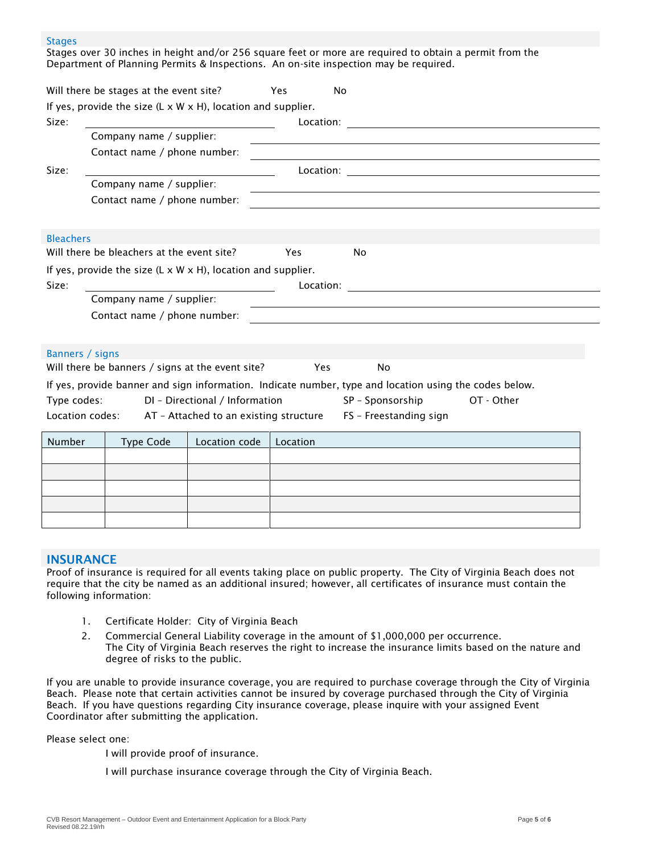#### **Stages**

|                                                                                     |                                                                            |                                |            | Stages over 30 inches in height and/or 256 square feet or more are required to obtain a permit from the<br>Department of Planning Permits & Inspections. An on-site inspection may be required. |            |
|-------------------------------------------------------------------------------------|----------------------------------------------------------------------------|--------------------------------|------------|-------------------------------------------------------------------------------------------------------------------------------------------------------------------------------------------------|------------|
|                                                                                     | Will there be stages at the event site?                                    |                                | Yes        | <b>No</b>                                                                                                                                                                                       |            |
|                                                                                     | If yes, provide the size (L $\times$ W $\times$ H), location and supplier. |                                |            |                                                                                                                                                                                                 |            |
| Size:                                                                               |                                                                            |                                | Location:  |                                                                                                                                                                                                 |            |
|                                                                                     | Company name / supplier:                                                   |                                |            |                                                                                                                                                                                                 |            |
|                                                                                     | Contact name / phone number:                                               |                                |            | <u> 1989 - Johann Barn, mars ann an t-Amhain an t-Amhain an t-Amhain an t-Amhain an t-Amhain an t-Amhain an t-Amh</u>                                                                           |            |
| Size:                                                                               |                                                                            |                                |            |                                                                                                                                                                                                 |            |
|                                                                                     | Company name / supplier:                                                   |                                |            |                                                                                                                                                                                                 |            |
|                                                                                     | Contact name / phone number:                                               |                                |            |                                                                                                                                                                                                 |            |
|                                                                                     |                                                                            |                                |            |                                                                                                                                                                                                 |            |
| <b>Bleachers</b>                                                                    |                                                                            |                                |            |                                                                                                                                                                                                 |            |
|                                                                                     | Will there be bleachers at the event site?                                 |                                | Yes        | <b>No</b>                                                                                                                                                                                       |            |
|                                                                                     | If yes, provide the size $(L \times W \times H)$ , location and supplier.  |                                |            |                                                                                                                                                                                                 |            |
| Size:                                                                               |                                                                            |                                | Location:  |                                                                                                                                                                                                 |            |
|                                                                                     | Company name / supplier:                                                   |                                |            |                                                                                                                                                                                                 |            |
|                                                                                     | Contact name / phone number:                                               |                                |            |                                                                                                                                                                                                 |            |
|                                                                                     |                                                                            |                                |            |                                                                                                                                                                                                 |            |
|                                                                                     |                                                                            |                                |            |                                                                                                                                                                                                 |            |
| Banners / signs                                                                     |                                                                            |                                |            |                                                                                                                                                                                                 |            |
|                                                                                     | Will there be banners / signs at the event site?                           |                                | <b>Yes</b> | No                                                                                                                                                                                              |            |
|                                                                                     |                                                                            |                                |            | If yes, provide banner and sign information. Indicate number, type and location using the codes below.                                                                                          |            |
| Type codes:                                                                         |                                                                            | DI - Directional / Information |            | SP - Sponsorship                                                                                                                                                                                | OT - Other |
| Location codes:<br>AT - Attached to an existing structure<br>FS - Freestanding sign |                                                                            |                                |            |                                                                                                                                                                                                 |            |
| Number                                                                              | <b>Type Code</b>                                                           | Location code                  | Location   |                                                                                                                                                                                                 |            |
|                                                                                     |                                                                            |                                |            |                                                                                                                                                                                                 |            |
|                                                                                     |                                                                            |                                |            |                                                                                                                                                                                                 |            |

## **INSURANCE**

Proof of insurance is required for all events taking place on public property. The City of Virginia Beach does not require that the city be named as an additional insured; however, all certificates of insurance must contain the following information:

- 1. Certificate Holder: City of Virginia Beach
- 2. Commercial General Liability coverage in the amount of \$1,000,000 per occurrence. The City of Virginia Beach reserves the right to increase the insurance limits based on the nature and degree of risks to the public.

If you are unable to provide insurance coverage, you are required to purchase coverage through the City of Virginia Beach. Please note that certain activities cannot be insured by coverage purchased through the City of Virginia Beach. If you have questions regarding City insurance coverage, please inquire with your assigned Event Coordinator after submitting the application.

Please select one:

I will provide proof of insurance.

I will purchase insurance coverage through the City of Virginia Beach.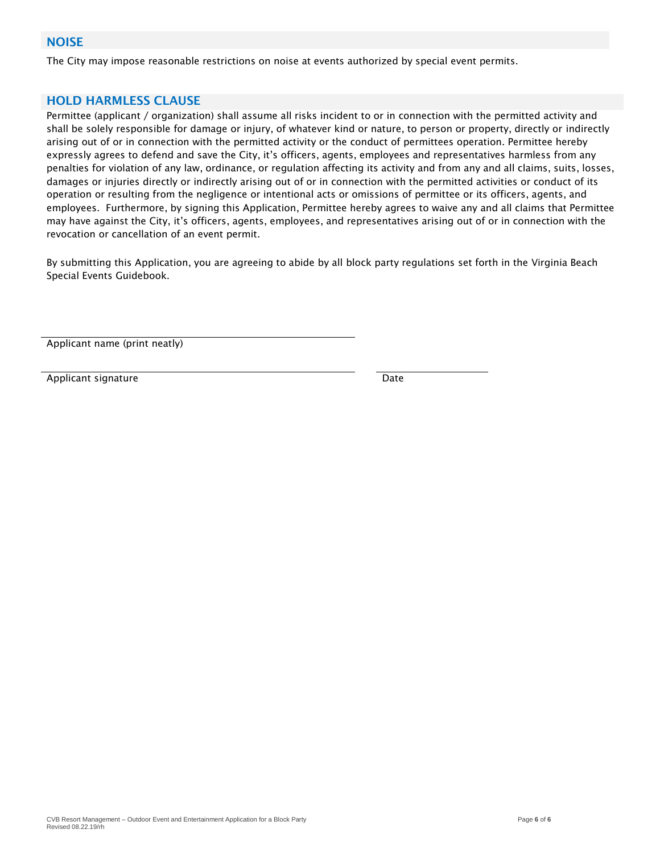The City may impose reasonable restrictions on noise at events authorized by special event permits.

# HOLD HARMLESS CLAUSE

Permittee (applicant / organization) shall assume all risks incident to or in connection with the permitted activity and shall be solely responsible for damage or injury, of whatever kind or nature, to person or property, directly or indirectly arising out of or in connection with the permitted activity or the conduct of permittees operation. Permittee hereby expressly agrees to defend and save the City, it's officers, agents, employees and representatives harmless from any penalties for violation of any law, ordinance, or regulation affecting its activity and from any and all claims, suits, losses, damages or injuries directly or indirectly arising out of or in connection with the permitted activities or conduct of its operation or resulting from the negligence or intentional acts or omissions of permittee or its officers, agents, and employees. Furthermore, by signing this Application, Permittee hereby agrees to waive any and all claims that Permittee may have against the City, it's officers, agents, employees, and representatives arising out of or in connection with the revocation or cancellation of an event permit.

By submitting this Application, you are agreeing to abide by all block party regulations set forth in the Virginia Beach Special Events Guidebook.

Applicant name (print neatly)

Applicant signature Date Date of the Date of the Date of the Date of the Date of the Date of the Date of the Date of the Date of the Date of the Date of the Date of the Date of the Date of the Date of the Date of the Date